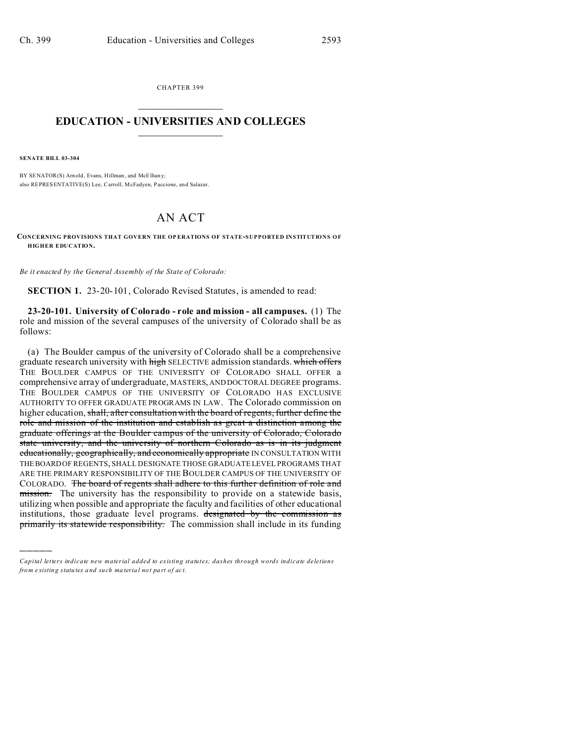CHAPTER 399  $\overline{\phantom{a}}$  , where  $\overline{\phantom{a}}$ 

## **EDUCATION - UNIVERSITIES AND COLLEGES**  $\frac{1}{2}$  ,  $\frac{1}{2}$  ,  $\frac{1}{2}$  ,  $\frac{1}{2}$  ,  $\frac{1}{2}$  ,  $\frac{1}{2}$  ,  $\frac{1}{2}$

**SENATE BILL 03-304**

)))))

BY SENATOR(S) Arnold, Evans, Hillman, and McElhany; also REPRESENTATIVE(S) Lee, Carroll, McFadyen, Paccione, and Salazar.

## AN ACT

**CONCERNING PROVISIONS THAT GOVERN THE OP ERATIONS OF STATE-SUPPORTED INSTITUTIONS OF HIGHER EDUCATION.**

*Be it enacted by the General Assembly of the State of Colorado:*

**SECTION 1.** 23-20-101, Colorado Revised Statutes, is amended to read:

**23-20-101. University of Colorado - role and mission - all campuses.** (1) The role and mission of the several campuses of the university of Colorado shall be as follows:

(a) The Boulder campus of the university of Colorado shall be a comprehensive graduate research university with high SELECTIVE admission standards. which offers THE BOULDER CAMPUS OF THE UNIVERSITY OF COLORADO SHALL OFFER a comprehensive array of undergraduate, MASTERS, AND DOCTORAL DEGREE programs. THE BOULDER CAMPUS OF THE UNIVERSITY OF COLORADO HAS EXCLUSIVE AUTHORITY TO OFFER GRADUATE PROGRAMS IN LAW. The Colorado commission on higher education, shall, after consultation with the board of regents, further define the role and mission of the institution and establish as great a distinction among the graduate offerings at the Boulder campus of the university of Colorado, Colorado state university, and the university of northern Colorado as is in its judgment educationally, geographically, and economically appropriate IN CONSULTATION WITH THEBOARD OF REGENTS, SHALL DESIGNATE THOSE GRADUATE LEVEL PROGRAMS THAT ARE THE PRIMARY RESPONSIBILITY OF THE BOULDER CAMPUS OF THE UNIVERSITY OF COLORADO. The board of regents shall adhere to this further definition of role and mission. The university has the responsibility to provide on a statewide basis, utilizing when possible and appropriate the faculty and facilities of other educational institutions, those graduate level programs. designated by the commission as primarily its statewide responsibility. The commission shall include in its funding

*Capital letters indicate new material added to existing statutes; dashes through words indicate deletions from e xistin g statu tes a nd such ma teria l no t pa rt of ac t.*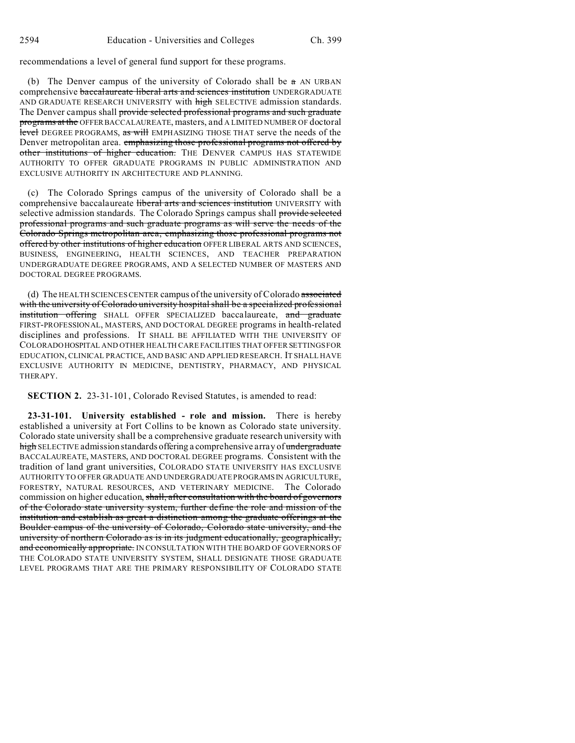recommendations a level of general fund support for these programs.

(b) The Denver campus of the university of Colorado shall be  $\pi$  AN URBAN comprehensive baccalaureate liberal arts and sciences institution UNDERGRADUATE AND GRADUATE RESEARCH UNIVERSITY with high SELECTIVE admission standards. The Denver campus shall provide selected professional programs and such graduate programs at the OFFER BACCALAUREATE, masters, and A LIMITED NUMBER OF doctoral level DEGREE PROGRAMS, as will EMPHASIZING THOSE THAT serve the needs of the Denver metropolitan area. emphasizing those professional programs not offered by other institutions of higher education. THE DENVER CAMPUS HAS STATEWIDE AUTHORITY TO OFFER GRADUATE PROGRAMS IN PUBLIC ADMINISTRATION AND EXCLUSIVE AUTHORITY IN ARCHITECTURE AND PLANNING.

(c) The Colorado Springs campus of the university of Colorado shall be a comprehensive baccalaureate liberal arts and sciences institution UNIVERSITY with selective admission standards. The Colorado Springs campus shall provide selected professional programs and such graduate programs as will serve the needs of the Colorado Springs metropolitan area, emphasizing those professional programs not offered by other institutions of higher education OFFER LIBERAL ARTS AND SCIENCES, BUSINESS, ENGINEERING, HEALTH SCIENCES, AND TEACHER PREPARATION UNDERGRADUATE DEGREE PROGRAMS, AND A SELECTED NUMBER OF MASTERS AND DOCTORAL DEGREE PROGRAMS.

(d) The HEALTH SCIENCES CENTER campus of the university of Colorado associated with the university of Colorado university hospital shall be a specialized professional institution offering SHALL OFFER SPECIALIZED baccalaureate, and graduate FIRST-PROFESSIONAL, MASTERS, AND DOCTORAL DEGREE programs in health-related disciplines and professions. IT SHALL BE AFFILIATED WITH THE UNIVERSITY OF COLORADOHOSPITAL AND OTHER HEALTH CARE FACILITIES THAT OFFER SETTINGS FOR EDUCATION, CLINICAL PRACTICE, AND BASIC AND APPLIED RESEARCH. IT SHALL HAVE EXCLUSIVE AUTHORITY IN MEDICINE, DENTISTRY, PHARMACY, AND PHYSICAL THERAPY.

**SECTION 2.** 23-31-101, Colorado Revised Statutes, is amended to read:

**23-31-101. University established - role and mission.** There is hereby established a university at Fort Collins to be known as Colorado state university. Colorado state university shall be a comprehensive graduate research university with high SELECTIVE admission standards offering a comprehensive array of undergraduate BACCALAUREATE, MASTERS, AND DOCTORAL DEGREE programs. Consistent with the tradition of land grant universities, COLORADO STATE UNIVERSITY HAS EXCLUSIVE AUTHORITY TO OFFER GRADUATE AND UNDERGRADUATE PROGRAMSIN AGRICULTURE, FORESTRY, NATURAL RESOURCES, AND VETERINARY MEDICINE. The Colorado commission on higher education, shall, after consultation with the board of governors of the Colorado state university system, further define the role and mission of the institution and establish as great a distinction among the graduate offerings at the Boulder campus of the university of Colorado, Colorado state university, and the university of northern Colorado as is in its judgment educationally, geographically, and economically appropriate. IN CONSULTATION WITH THE BOARD OF GOVERNORS OF THE COLORADO STATE UNIVERSITY SYSTEM, SHALL DESIGNATE THOSE GRADUATE LEVEL PROGRAMS THAT ARE THE PRIMARY RESPONSIBILITY OF COLORADO STATE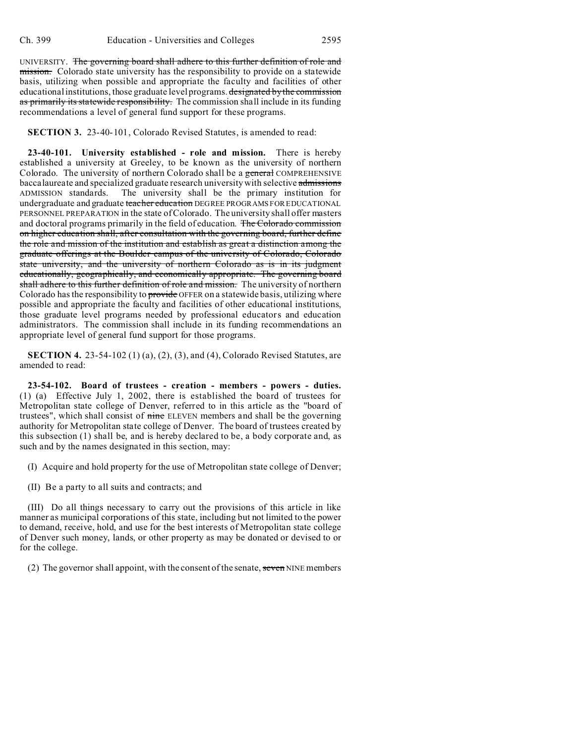UNIVERSITY. The governing board shall adhere to this further definition of role and mission. Colorado state university has the responsibility to provide on a statewide basis, utilizing when possible and appropriate the faculty and facilities of other educational institutions, those graduate level programs. designated by the commission as primarily its statewide responsibility. The commission shall include in its funding recommendations a level of general fund support for these programs.

**SECTION 3.** 23-40-101, Colorado Revised Statutes, is amended to read:

**23-40-101. University established - role and mission.** There is hereby established a university at Greeley, to be known as the university of northern Colorado. The university of northern Colorado shall be a general COMPREHENSIVE baccalaureate and specialized graduate research university with selective admissions ADMISSION standards. The university shall be the primary institution for undergraduate and graduate teacher education DEGREE PROGRAMS FOR EDUCATIONAL PERSONNEL PREPARATION in the state of Colorado. The university shall offer masters and doctoral programs primarily in the field of education. The Colorado commission on higher education shall, after consultation with the governing board, further define the role and mission of the institution and establish as great a distinction among the graduate offerings at the Boulder campus of the university of Colorado, Colorado state university, and the university of northern Colorado as is in its judgment educationally, geographically, and economically appropriate. The governing board shall adhere to this further definition of role and mission. The university of northern Colorado has the responsibility to provide OFFER on a statewide basis, utilizing where possible and appropriate the faculty and facilities of other educational institutions, those graduate level programs needed by professional educators and education administrators. The commission shall include in its funding recommendations an appropriate level of general fund support for those programs.

**SECTION 4.** 23-54-102 (1) (a), (2), (3), and (4), Colorado Revised Statutes, are amended to read:

**23-54-102. Board of trustees - creation - members - powers - duties.** (1) (a) Effective July 1, 2002, there is established the board of trustees for Metropolitan state college of Denver, referred to in this article as the "board of trustees", which shall consist of nine ELEVEN members and shall be the governing authority for Metropolitan state college of Denver. The board of trustees created by this subsection (1) shall be, and is hereby declared to be, a body corporate and, as such and by the names designated in this section, may:

(I) Acquire and hold property for the use of Metropolitan state college of Denver;

(II) Be a party to all suits and contracts; and

(III) Do all things necessary to carry out the provisions of this article in like manner as municipal corporations of this state, including but not limited to the power to demand, receive, hold, and use for the best interests of Metropolitan state college of Denver such money, lands, or other property as may be donated or devised to or for the college.

(2) The governor shall appoint, with the consent of the senate, seven NINE members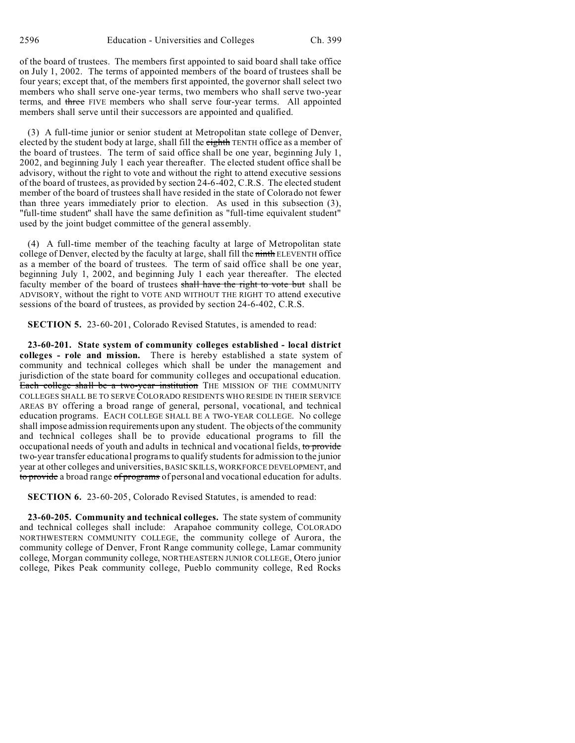of the board of trustees. The members first appointed to said board shall take office on July 1, 2002. The terms of appointed members of the board of trustees shall be four years; except that, of the members first appointed, the governor shall select two members who shall serve one-year terms, two members who shall serve two-year terms, and three FIVE members who shall serve four-year terms. All appointed members shall serve until their successors are appointed and qualified.

(3) A full-time junior or senior student at Metropolitan state college of Denver, elected by the student body at large, shall fill the eighth TENTH office as a member of the board of trustees. The term of said office shall be one year, beginning July 1, 2002, and beginning July 1 each year thereafter. The elected student office shall be advisory, without the right to vote and without the right to attend executive sessions of the board of trustees, as provided by section 24-6-402, C.R.S. The elected student member of the board of trustees shall have resided in the state of Colorado not fewer than three years immediately prior to election. As used in this subsection (3), "full-time student" shall have the same definition as "full-time equivalent student" used by the joint budget committee of the general assembly.

(4) A full-time member of the teaching faculty at large of Metropolitan state college of Denver, elected by the faculty at large, shall fill the ninth ELEVENTH office as a member of the board of trustees. The term of said office shall be one year, beginning July 1, 2002, and beginning July 1 each year thereafter. The elected faculty member of the board of trustees shall have the right to vote but shall be ADVISORY, without the right to VOTE AND WITHOUT THE RIGHT TO attend executive sessions of the board of trustees, as provided by section 24-6-402, C.R.S.

**SECTION 5.** 23-60-201, Colorado Revised Statutes, is amended to read:

**23-60-201. State system of community colleges established - local district colleges - role and mission.** There is hereby established a state system of community and technical colleges which shall be under the management and jurisdiction of the state board for community colleges and occupational education. Each college shall be a two-year institution THE MISSION OF THE COMMUNITY COLLEGES SHALL BE TO SERVE COLORADO RESIDENTS WHO RESIDE IN THEIR SERVICE AREAS BY offering a broad range of general, personal, vocational, and technical education programs. EACH COLLEGE SHALL BE A TWO-YEAR COLLEGE. No college shall impose admission requirements upon any student. The objects of the community and technical colleges shall be to provide educational programs to fill the occupational needs of youth and adults in technical and vocational fields, to provide two-year transfer educational programs to qualify students for admission to the junior year at other colleges and universities, BASIC SKILLS, WORKFORCE DEVELOPMENT, and to provide a broad range of programs of personal and vocational education for adults.

**SECTION 6.** 23-60-205, Colorado Revised Statutes, is amended to read:

**23-60-205. Community and technical colleges.** The state system of community and technical colleges shall include: Arapahoe community college, COLORADO NORTHWESTERN COMMUNITY COLLEGE, the community college of Aurora, the community college of Denver, Front Range community college, Lamar community college, Morgan community college, NORTHEASTERN JUNIOR COLLEGE, Otero junior college, Pikes Peak community college, Pueblo community college, Red Rocks